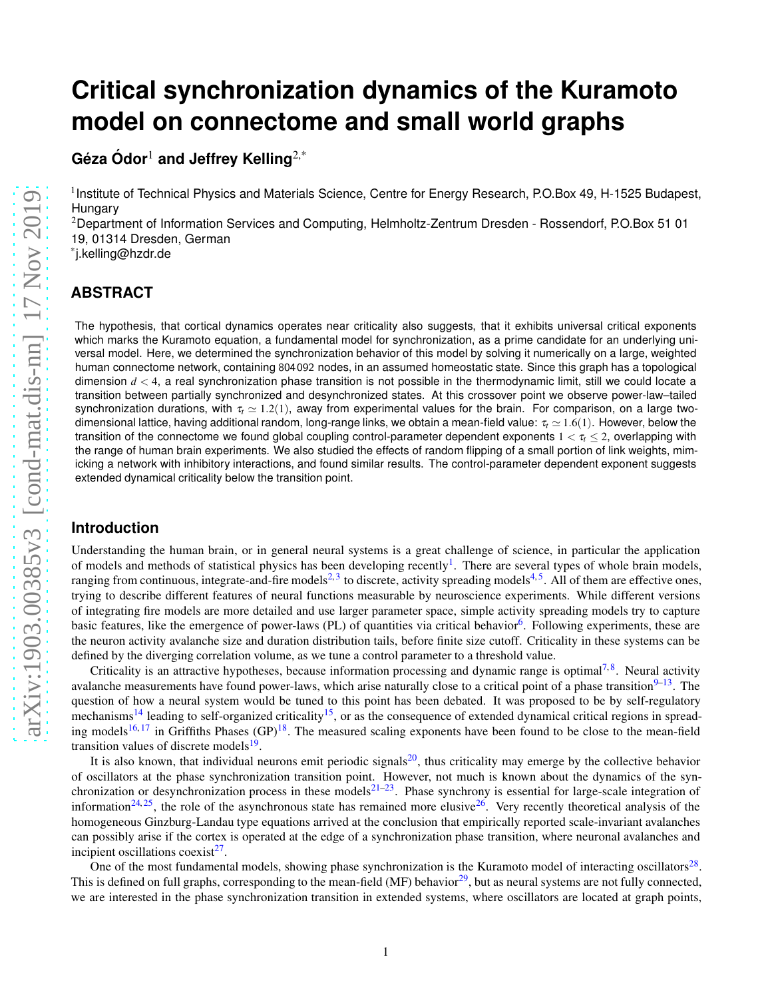# **Critical synchronization dynamics of the Kuramoto model on connectome and small world graphs**

**Geza ´ Odor ´** <sup>1</sup> **and Jeffrey Kelling**2,\*

<sup>1</sup> Institute of Technical Physics and Materials Science, Centre for Energy Research, P.O.Box 49, H-1525 Budapest, **Hungary** 

<sup>2</sup>Department of Information Services and Computing, Helmholtz-Zentrum Dresden - Rossendorf, P.O.Box 51 01 19, 01314 Dresden, German

\* j.kelling@hzdr.de

# **ABSTRACT**

The hypothesis, that cortical dynamics operates near criticality also suggests, that it exhibits universal critical exponents which marks the Kuramoto equation, a fundamental model for synchronization, as a prime candidate for an underlying universal model. Here, we determined the synchronization behavior of this model by solving it numerically on a large, weighted human connectome network, containing 804 092 nodes, in an assumed homeostatic state. Since this graph has a topological dimension  $d < 4$ , a real synchronization phase transition is not possible in the thermodynamic limit, still we could locate a transition between partially synchronized and desynchronized states. At this crossover point we observe power-law–tailed synchronization durations, with  $\tau_t \approx 1.2(1)$ , away from experimental values for the brain. For comparison, on a large twodimensional lattice, having additional random, long-range links, we obtain a mean-field value:  $\tau_t \approx 1.6(1)$ . However, below the transition of the connectome we found global coupling control-parameter dependent exponents  $1 < \tau_t \leq 2$ , overlapping with the range of human brain experiments. We also studied the effects of random flipping of a small portion of link weights, mimicking a network with inhibitory interactions, and found similar results. The control-parameter dependent exponent suggests extended dynamical criticality below the transition point.

# **Introduction**

Understanding the human brain, or in general neural systems is a great challenge of science, in particular the application of models and methods of statistical physics has been developing recently<sup>[1](#page-8-0)</sup>. There are several types of whole brain models, ranging from continuous, integrate-and-fire models<sup>[2,](#page-8-1)[3](#page-8-2)</sup> to discrete, activity spreading models<sup>[4,](#page-8-3)[5](#page-8-4)</sup>. All of them are effective ones, trying to describe different features of neural functions measurable by neuroscience experiments. While different versions of integrating fire models are more detailed and use larger parameter space, simple activity spreading models try to capture basic features, like the emergence of power-laws (PL) of quantities via critical behavior<sup>[6](#page-8-5)</sup>. Following experiments, these are the neuron activity avalanche size and duration distribution tails, before finite size cutoff. Criticality in these systems can be defined by the diverging correlation volume, as we tune a control parameter to a threshold value.

Criticality is an attractive hypotheses, because information processing and dynamic range is optimal<sup>[7,](#page-8-6)[8](#page-8-7)</sup>. Neural activity avalanche measurements have found power-laws, which arise naturally close to a critical point of a phase transition $9-13$  $9-13$ . The question of how a neural system would be tuned to this point has been debated. It was proposed to be by self-regulatory mechanisms<sup>[14](#page-8-10)</sup> leading to self-organized criticality<sup>[15](#page-8-11)</sup>, or as the consequence of extended dynamical critical regions in spread-ing models<sup>[16,](#page-8-12)[17](#page-8-13)</sup> in Griffiths Phases (GP)<sup>[18](#page-9-0)</sup>. The measured scaling exponents have been found to be close to the mean-field transition values of discrete models<sup>[19](#page-9-1)</sup>.

It is also known, that individual neurons emit periodic signals<sup>[20](#page-9-2)</sup>, thus criticality may emerge by the collective behavior of oscillators at the phase synchronization transition point. However, not much is known about the dynamics of the synchronization or desynchronization process in these models $21-23$  $21-23$ . Phase synchrony is essential for large-scale integration of information<sup>[24,](#page-9-5) [25](#page-9-6)</sup>, the role of the asynchronous state has remained more elusive  $26$ . Very recently theoretical analysis of the homogeneous Ginzburg-Landau type equations arrived at the conclusion that empirically reported scale-invariant avalanches can possibly arise if the cortex is operated at the edge of a synchronization phase transition, where neuronal avalanches and incipient oscillations coexist<sup>[27](#page-9-8)</sup>.

One of the most fundamental models, showing phase synchronization is the Kuramoto model of interacting oscillators $^{28}$  $^{28}$  $^{28}$ . This is defined on full graphs, corresponding to the mean-field (MF) behavior<sup>[29](#page-9-10)</sup>, but as neural systems are not fully connected, we are interested in the phase synchronization transition in extended systems, where oscillators are located at graph points,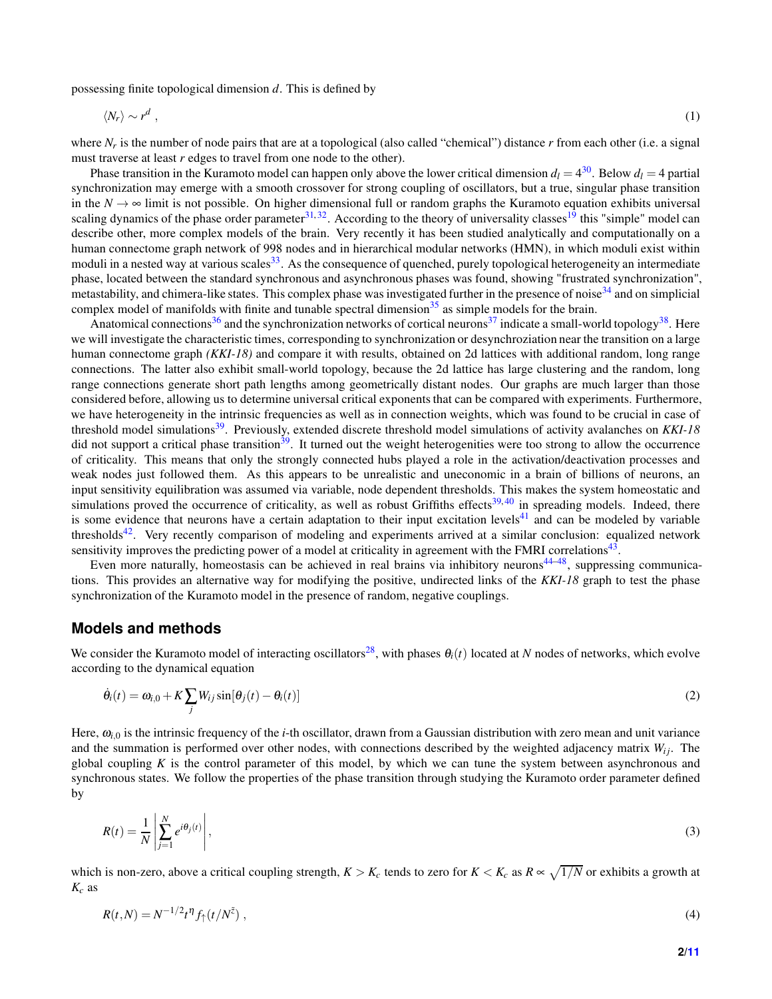possessing finite topological dimension *d*. This is defined by

$$
\langle N_r \rangle \sim r^d \tag{1}
$$

where  $N_r$  is the number of node pairs that are at a topological (also called "chemical") distance *r* from each other (i.e. a signal must traverse at least *r* edges to travel from one node to the other).

Phase transition in the Kuramoto model can happen only above the lower critical dimension  $d_l = 4^{30}$  $d_l = 4^{30}$  $d_l = 4^{30}$ . Below  $d_l = 4$  partial synchronization may emerge with a smooth crossover for strong coupling of oscillators, but a true, singular phase transition in the  $N \to \infty$  limit is not possible. On higher dimensional full or random graphs the Kuramoto equation exhibits universal scaling dynamics of the phase order parameter  $31,32$  $31,32$ . According to the theory of universality classes<sup>[19](#page-9-1)</sup> this "simple" model can describe other, more complex models of the brain. Very recently it has been studied analytically and computationally on a human connectome graph network of 998 nodes and in hierarchical modular networks (HMN), in which moduli exist within moduli in a nested way at various scales<sup>[33](#page-9-14)</sup>. As the consequence of quenched, purely topological heterogeneity an intermediate phase, located between the standard synchronous and asynchronous phases was found, showing "frustrated synchronization", metastability, and chimera-like states. This complex phase was investigated further in the presence of noise<sup>[34](#page-9-15)</sup> and on simplicial complex model of manifolds with finite and tunable spectral dimension<sup>[35](#page-9-16)</sup> as simple models for the brain.

Anatomical connections<sup>[36](#page-9-17)</sup> and the synchronization networks of cortical neurons<sup>[37](#page-9-18)</sup> indicate a small-world topology<sup>[38](#page-9-19)</sup>. Here we will investigate the characteristic times, corresponding to synchronization or desynchroziation near the transition on a large human connectome graph *(KKI-18)* and compare it with results, obtained on 2d lattices with additional random, long range connections. The latter also exhibit small-world topology, because the 2d lattice has large clustering and the random, long range connections generate short path lengths among geometrically distant nodes. Our graphs are much larger than those considered before, allowing us to determine universal critical exponents that can be compared with experiments. Furthermore, we have heterogeneity in the intrinsic frequencies as well as in connection weights, which was found to be crucial in case of threshold model simulations[39](#page-9-20). Previously, extended discrete threshold model simulations of activity avalanches on *KKI-18* did not support a critical phase transition<sup>[39](#page-9-20)</sup>. It turned out the weight heterogenities were too strong to allow the occurrence of criticality. This means that only the strongly connected hubs played a role in the activation/deactivation processes and weak nodes just followed them. As this appears to be unrealistic and uneconomic in a brain of billions of neurons, an input sensitivity equilibration was assumed via variable, node dependent thresholds. This makes the system homeostatic and simulations proved the occurrence of criticality, as well as robust Griffiths effects<sup>[39,](#page-9-20)[40](#page-9-21)</sup> in spreading models. Indeed, there is some evidence that neurons have a certain adaptation to their input excitation levels<sup>[41](#page-9-22)</sup> and can be modeled by variable thresholds<sup>[42](#page-10-0)</sup>. Very recently comparison of modeling and experiments arrived at a similar conclusion: equalized network sensitivity improves the predicting power of a model at criticality in agreement with the FMRI correlations<sup>[43](#page-10-1)</sup>.

Even more naturally, homeostasis can be achieved in real brains via inhibitory neurons<sup>[44](#page-10-2)[–48](#page-10-3)</sup>, suppressing communications. This provides an alternative way for modifying the positive, undirected links of the *KKI-18* graph to test the phase synchronization of the Kuramoto model in the presence of random, negative couplings.

#### **Models and methods**

We consider the Kuramoto model of interacting oscillators<sup>[28](#page-9-9)</sup>, with phases  $\theta_i(t)$  located at *N* nodes of networks, which evolve according to the dynamical equation

<span id="page-1-0"></span>
$$
\dot{\theta}_i(t) = \omega_{i,0} + K \sum_j W_{ij} \sin[\theta_j(t) - \theta_i(t)] \tag{2}
$$

Here,  $\omega_{i,0}$  is the intrinsic frequency of the *i*-th oscillator, drawn from a Gaussian distribution with zero mean and unit variance and the summation is performed over other nodes, with connections described by the weighted adjacency matrix  $W_{ij}$ . The global coupling  $K$  is the control parameter of this model, by which we can tune the system between asynchronous and synchronous states. We follow the properties of the phase transition through studying the Kuramoto order parameter defined by

$$
R(t) = \frac{1}{N} \left| \sum_{j=1}^{N} e^{i\theta_j(t)} \right|,
$$
\n(3)

which is non-zero, above a critical coupling strength,  $K > K_c$  tends to zero for  $K < K_c$  as  $R \propto \sqrt{1/N}$  or exhibits a growth at *K<sup>c</sup>* as

<span id="page-1-1"></span>
$$
R(t,N) = N^{-1/2}t^{\eta}f_{\uparrow}(t/N^{\tilde{z}}) \tag{4}
$$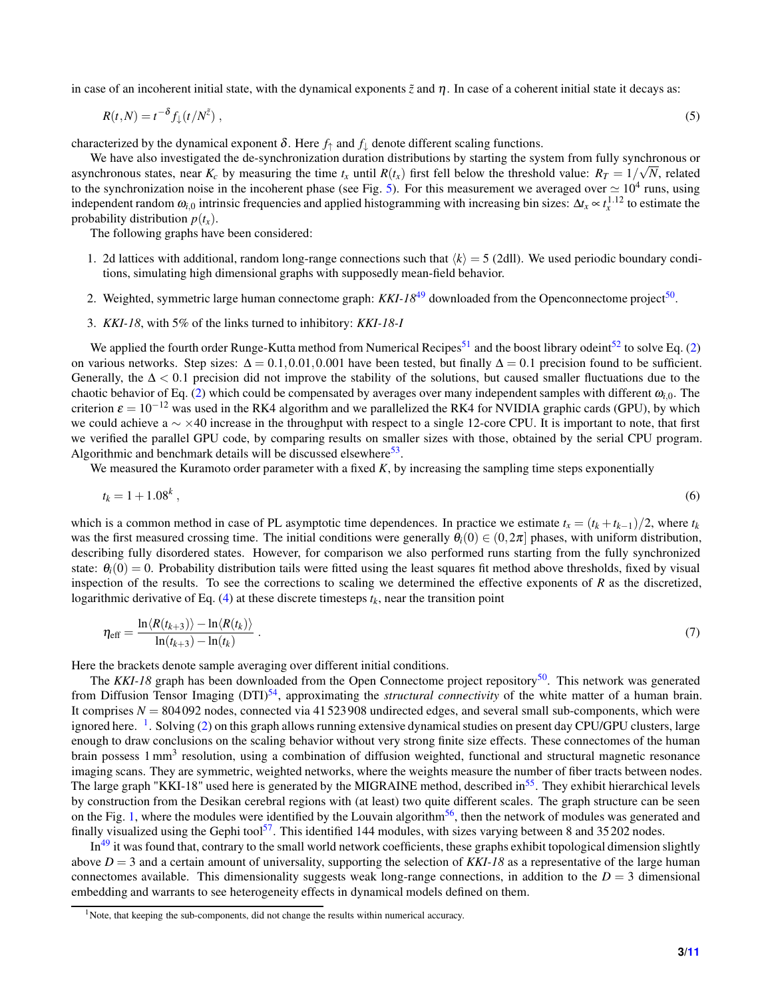in case of an incoherent initial state, with the dynamical exponents  $\tilde{z}$  and  $\eta$ . In case of a coherent initial state it decays as:

$$
R(t,N) = t^{-\delta} f_{\downarrow}(t/N^{\tilde{z}}) \tag{5}
$$

characterized by the dynamical exponent  $\delta$ . Here  $f_{\uparrow}$  and  $f_{\downarrow}$  denote different scaling functions.

We have also investigated the de-synchronization duration distributions by starting the system from fully synchronous or asynchronous states, near  $K_c$  by measuring the time  $t_x$  until  $R(t_x)$  first fell below the threshold value:  $R_T = 1/\sqrt{N}$ , related to the synchronization noise in the incoherent phase (see Fig. [5\)](#page-5-0). For this measurement we averaged over  $\simeq 10^4$  runs, using independent random  $\omega_{i,0}$  intrinsic frequencies and applied histogramming with increasing bin sizes:  $\Delta t_x \propto t_x^{1.12}$  to estimate the probability distribution  $p(t_x)$ .

The following graphs have been considered:

- 1. 2d lattices with additional, random long-range connections such that  $\langle k \rangle = 5$  (2dll). We used periodic boundary conditions, simulating high dimensional graphs with supposedly mean-field behavior.
- 2. Weighted, symmetric large human connectome graph: *KKI-18*<sup>[49](#page-10-5)</sup> downloaded from the Openconnectome project<sup>[50](#page-10-6)</sup>.
- 3. *KKI-18*, with 5% of the links turned to inhibitory: *KKI-18-I*

We applied the fourth order Runge-Kutta method from Numerical Recipes<sup>[51](#page-10-7)</sup> and the boost library odeint<sup>[52](#page-10-8)</sup> to solve Eq. [\(2\)](#page-1-0) on various networks. Step sizes:  $\Delta = 0.1, 0.01, 0.001$  have been tested, but finally  $\Delta = 0.1$  precision found to be sufficient. Generally, the  $\Delta < 0.1$  precision did not improve the stability of the solutions, but caused smaller fluctuations due to the chaotic behavior of Eq. [\(2\)](#page-1-0) which could be compensated by averages over many independent samples with different  $\omega_i$ <sub>0</sub>. The criterion  $\varepsilon = 10^{-12}$  was used in the RK4 algorithm and we parallelized the RK4 for NVIDIA graphic cards (GPU), by which we could achieve a  $\sim \times 40$  increase in the throughput with respect to a single 12-core CPU. It is important to note, that first we verified the parallel GPU code, by comparing results on smaller sizes with those, obtained by the serial CPU program. Algorithmic and benchmark details will be discussed elsewhere<sup>[53](#page-10-9)</sup>.

We measured the Kuramoto order parameter with a fixed K, by increasing the sampling time steps exponentially

$$
t_k = 1 + 1.08^k \,, \tag{6}
$$

which is a common method in case of PL asymptotic time dependences. In practice we estimate  $t_x = (t_k + t_{k-1})/2$ , where  $t_k$ was the first measured crossing time. The initial conditions were generally  $\theta_i(0) \in (0, 2\pi]$  phases, with uniform distribution, describing fully disordered states. However, for comparison we also performed runs starting from the fully synchronized state:  $\theta_i(0) = 0$ . Probability distribution tails were fitted using the least squares fit method above thresholds, fixed by visual inspection of the results. To see the corrections to scaling we determined the effective exponents of *R* as the discretized, logarithmic derivative of Eq.  $(4)$  at these discrete timesteps  $t_k$ , near the transition point

<span id="page-2-1"></span>
$$
\eta_{\text{eff}} = \frac{\ln \langle R(t_{k+3}) \rangle - \ln \langle R(t_k) \rangle}{\ln(t_{k+3}) - \ln(t_k)} \ . \tag{7}
$$

Here the brackets denote sample averaging over different initial conditions.

The *KKI-18* graph has been downloaded from the Open Connectome project repository<sup>[50](#page-10-6)</sup>. This network was generated from Diffusion Tensor Imaging (DTI)[54](#page-10-10), approximating the *structural connectivity* of the white matter of a human brain. It comprises  $N = 804092$  nodes, connected via 41523908 undirected edges, and several small sub-components, which were ignored here. <sup>[1](#page-2-0)</sup>. Solving [\(2\)](#page-1-0) on this graph allows running extensive dynamical studies on present day CPU/GPU clusters, large enough to draw conclusions on the scaling behavior without very strong finite size effects. These connectomes of the human brain possess 1 mm<sup>3</sup> resolution, using a combination of diffusion weighted, functional and structural magnetic resonance imaging scans. They are symmetric, weighted networks, where the weights measure the number of fiber tracts between nodes. The large graph "KKI-18" used here is generated by the MIGRAINE method, described in<sup>[55](#page-10-11)</sup>. They exhibit hierarchical levels by construction from the Desikan cerebral regions with (at least) two quite different scales. The graph structure can be seen on the Fig. [1,](#page-3-0) where the modules were identified by the Louvain algorithm<sup>[56](#page-10-12)</sup>, then the network of modules was generated and finally visualized using the Gephi tool<sup>[57](#page-10-13)</sup>. This identified 144 modules, with sizes varying between 8 and 35 202 nodes.

 $In<sup>49</sup>$  $In<sup>49</sup>$  $In<sup>49</sup>$  it was found that, contrary to the small world network coefficients, these graphs exhibit topological dimension slightly above  $D = 3$  and a certain amount of universality, supporting the selection of KKI-18 as a representative of the large human connectomes available. This dimensionality suggests weak long-range connections, in addition to the  $D = 3$  dimensional embedding and warrants to see heterogeneity effects in dynamical models defined on them.

<span id="page-2-0"></span><sup>&</sup>lt;sup>1</sup>Note, that keeping the sub-components, did not change the results within numerical accuracy.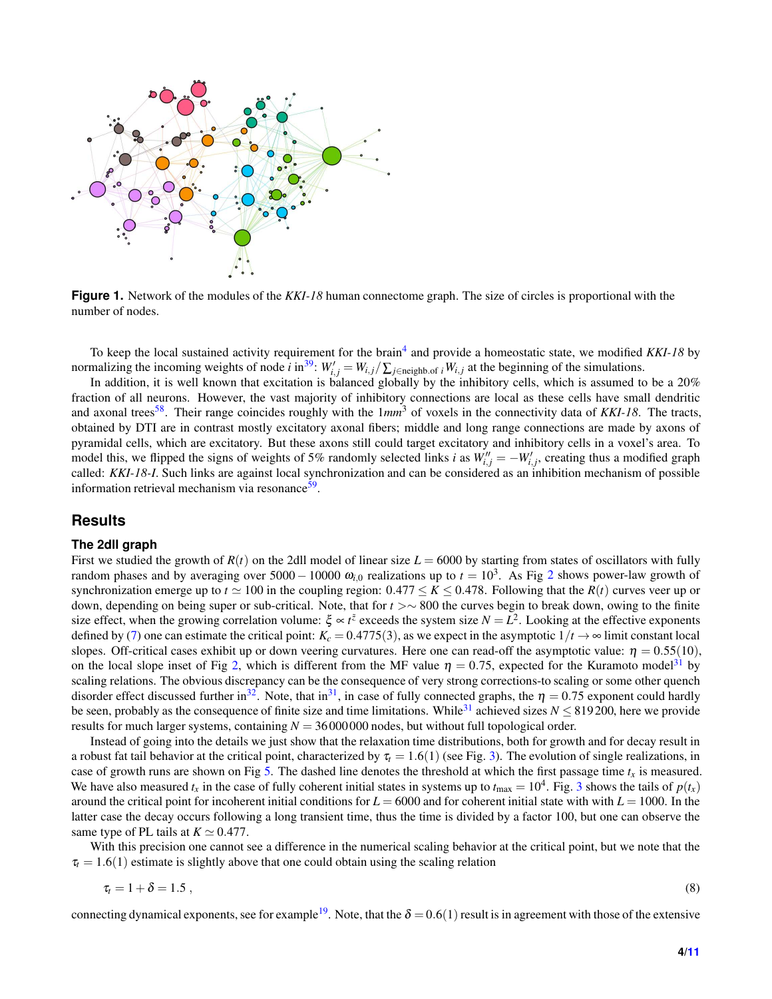<span id="page-3-0"></span>

**Figure 1.** Network of the modules of the *KKI-18* human connectome graph. The size of circles is proportional with the number of nodes.

To keep the local sustained activity requirement for the brain<sup>[4](#page-8-3)</sup> and provide a homeostatic state, we modified *KKI-18* by normalizing the incoming weights of node *i* in<sup>[39](#page-9-20)</sup>:  $W'_{i,j} = W_{i,j}/\sum_{j \in \text{neighbor } i} W_{i,j}$  at the beginning of the simulations.

In addition, it is well known that excitation is balanced globally by the inhibitory cells, which is assumed to be a 20% fraction of all neurons. However, the vast majority of inhibitory connections are local as these cells have small dendritic and axonal trees<sup>[58](#page-10-14)</sup>. Their range coincides roughly with the  $1mm^3$  of voxels in the connectivity data of *KKI-18*. The tracts, obtained by DTI are in contrast mostly excitatory axonal fibers; middle and long range connections are made by axons of pyramidal cells, which are excitatory. But these axons still could target excitatory and inhibitory cells in a voxel's area. To model this, we flipped the signs of weights of 5% randomly selected links *i* as  $W''_{i,j} = -W'_{i,j}$ , creating thus a modified graph called: *KKI-18-I*. Such links are against local synchronization and can be considered as an inhibition mechanism of possible information retrieval mechanism via resonance<sup>[59](#page-10-15)</sup>.

#### **Results**

#### **The 2dll graph**

First we studied the growth of  $R(t)$  on the 2dll model of linear size  $L = 6000$  by starting from states of oscillators with fully random phases and by averaging over 5000 – 10000  $\omega_{i,0}$  realizations up to  $t = 10^3$ . As Fig [2](#page-4-0) shows power-law growth of synchronization emerge up to  $t \approx 100$  in the coupling region:  $0.477 \le K \le 0.478$ . Following that the  $R(t)$  curves veer up or down, depending on being super or sub-critical. Note, that for *t* >∼ 800 the curves begin to break down, owing to the finite size effect, when the growing correlation volume:  $\xi \propto t^{\tilde{z}}$  exceeds the system size  $N = L^2$ . Looking at the effective exponents defined by [\(7\)](#page-2-1) one can estimate the critical point:  $K_c = 0.4775(3)$ , as we expect in the asymptotic  $1/t \rightarrow \infty$  limit constant local slopes. Off-critical cases exhibit up or down veering curvatures. Here one can read-off the asymptotic value:  $\eta = 0.55(10)$ , on the local slope inset of Fig [2,](#page-4-0) which is different from the MF value  $\eta = 0.75$ , expected for the Kuramoto model<sup>[31](#page-9-12)</sup> by scaling relations. The obvious discrepancy can be the consequence of very strong corrections-to scaling or some other quench disorder effect discussed further in<sup>[32](#page-9-13)</sup>. Note, that in<sup>[31](#page-9-12)</sup>, in case of fully connected graphs, the  $\eta = 0.75$  exponent could hardly be seen, probably as the consequence of finite size and time limitations. While<sup>[31](#page-9-12)</sup> achieved sizes  $N \leq 819200$ , here we provide results for much larger systems, containing  $N = 36000000$  nodes, but without full topological order.

Instead of going into the details we just show that the relaxation time distributions, both for growth and for decay result in a robust fat tail behavior at the critical point, characterized by  $\tau_t = 1.6(1)$  (see Fig. [3\)](#page-4-1). The evolution of single realizations, in case of growth runs are shown on Fig [5.](#page-5-0) The dashed line denotes the threshold at which the first passage time  $t_x$  is measured. We have also measured  $t_x$  in the case of fully coherent initial states in systems up to  $t_{\text{max}} = 10^4$ . Fig. [3](#page-4-1) shows the tails of  $p(t_x)$ around the critical point for incoherent initial conditions for *L* = 6000 and for coherent initial state with with *L* = 1000. In the latter case the decay occurs following a long transient time, thus the time is divided by a factor 100, but one can observe the same type of PL tails at  $K \simeq 0.477$ .

With this precision one cannot see a difference in the numerical scaling behavior at the critical point, but we note that the  $\tau_t = 1.6(1)$  estimate is slightly above that one could obtain using the scaling relation

$$
\tau_t = 1 + \delta = 1.5 \tag{8}
$$

connecting dynamical exponents, see for example<sup>[19](#page-9-1)</sup>. Note, that the  $\delta = 0.6(1)$  result is in agreement with those of the extensive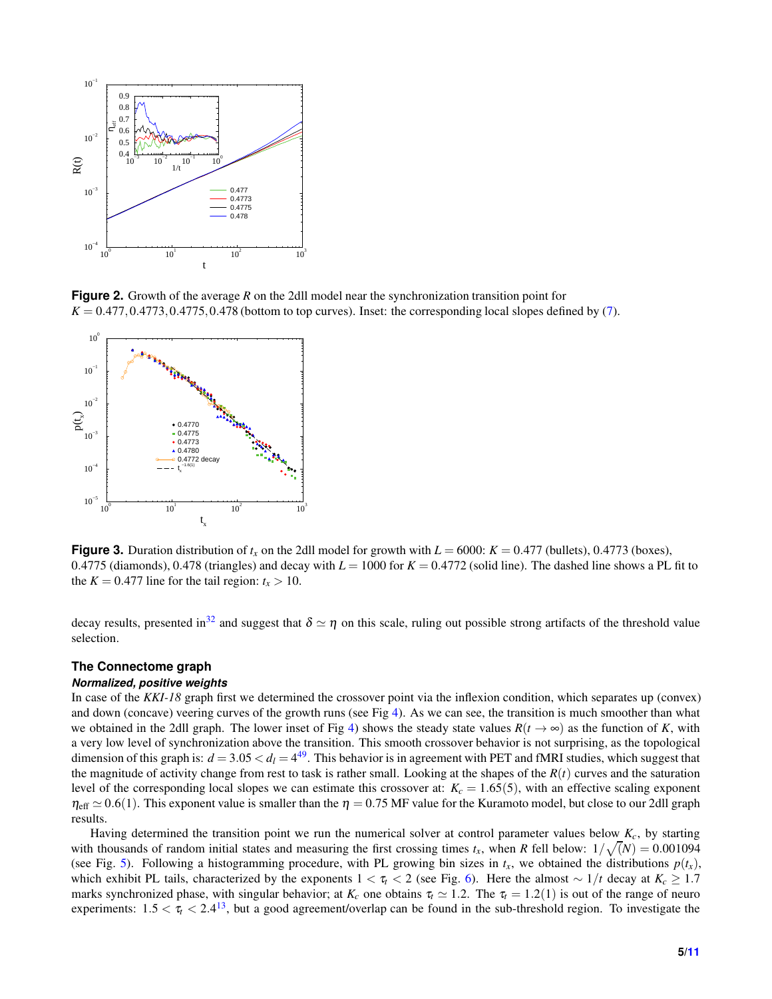<span id="page-4-0"></span>

**Figure 2.** Growth of the average R on the 2dll model near the synchronization transition point for  $K = 0.477, 0.4773, 0.4775, 0.478$  (bottom to top curves). Inset: the corresponding local slopes defined by [\(7\)](#page-2-1).

<span id="page-4-1"></span>

**Figure 3.** Duration distribution of  $t_x$  on the 2dll model for growth with  $L = 6000$ :  $K = 0.477$  (bullets), 0.4773 (boxes), 0.4775 (diamonds), 0.478 (triangles) and decay with  $L = 1000$  for  $K = 0.4772$  (solid line). The dashed line shows a PL fit to the  $K = 0.477$  line for the tail region:  $t_x > 10$ .

decay results, presented in<sup>[32](#page-9-13)</sup> and suggest that  $\delta \simeq \eta$  on this scale, ruling out possible strong artifacts of the threshold value selection.

## **The Connectome graph**

### *Normalized, positive weights*

In case of the *KKI-18* graph first we determined the crossover point via the inflexion condition, which separates up (convex) and down (concave) veering curves of the growth runs (see Fig  $4$ ). As we can see, the transition is much smoother than what we obtained in the 2dll graph. The lower inset of Fig [4\)](#page-5-1) shows the steady state values  $R(t \to \infty)$  as the function of *K*, with a very low level of synchronization above the transition. This smooth crossover behavior is not surprising, as the topological dimension of this graph is:  $d = 3.05 < d_l = 4^{49}$  $d = 3.05 < d_l = 4^{49}$  $d = 3.05 < d_l = 4^{49}$ . This behavior is in agreement with PET and fMRI studies, which suggest that the magnitude of activity change from rest to task is rather small. Looking at the shapes of the  $R(t)$  curves and the saturation level of the corresponding local slopes we can estimate this crossover at:  $K_c = 1.65(5)$ , with an effective scaling exponent  $\eta_{\text{eff}} \simeq 0.6(1)$ . This exponent value is smaller than the  $\eta = 0.75$  MF value for the Kuramoto model, but close to our 2dll graph results.

Having determined the transition point we run the numerical solver at control parameter values below  $K_c$ , by starting with thousands of random initial states and measuring the first crossing times  $t_x$ , when *R* fell below:  $1/\sqrt(N) = 0.001094$ (see Fig. [5\)](#page-5-0). Following a histogramming procedure, with PL growing bin sizes in  $t_x$ , we obtained the distributions  $p(t_x)$ , which exhibit PL tails, characterized by the exponents  $1 < \tau_t < 2$  (see Fig. [6\)](#page-5-2). Here the almost  $\sim 1/t$  decay at  $K_c \ge 1.7$ marks synchronized phase, with singular behavior; at  $K_c$  one obtains  $\tau_t \simeq 1.2$ . The  $\tau_t = 1.2(1)$  is out of the range of neuro experiments:  $1.5 < \tau_t < 2.4^{13}$  $1.5 < \tau_t < 2.4^{13}$  $1.5 < \tau_t < 2.4^{13}$ , but a good agreement/overlap can be found in the sub-threshold region. To investigate the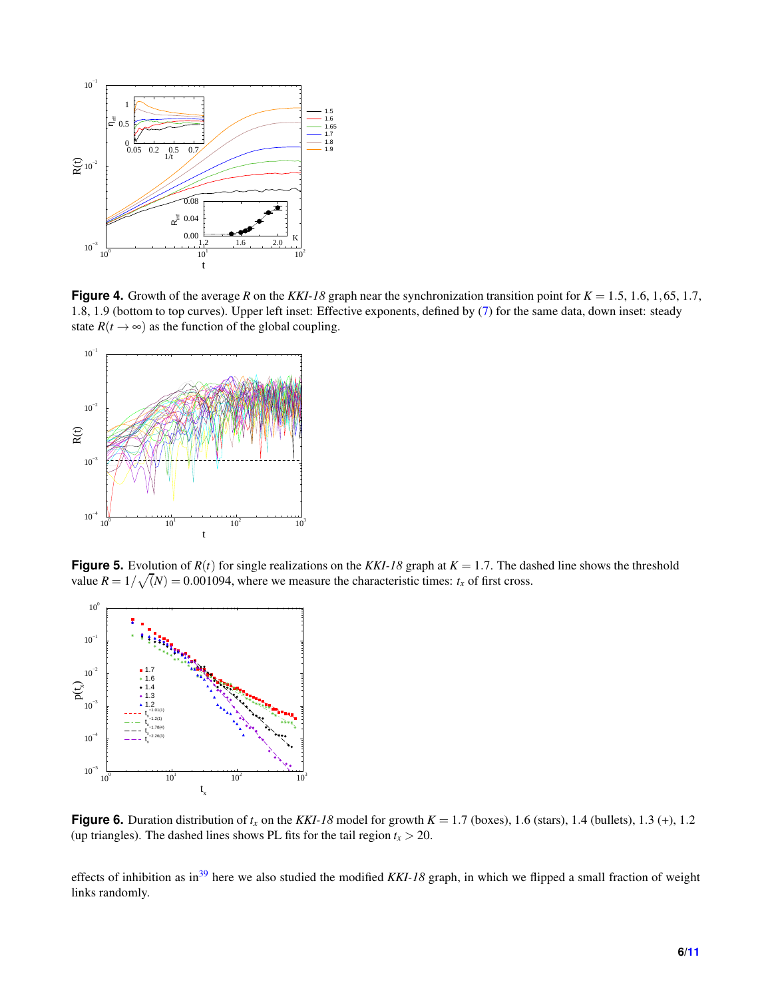<span id="page-5-1"></span>

**Figure 4.** Growth of the average *R* on the *KKI-18* graph near the synchronization transition point for  $K = 1.5, 1.6, 1.65, 1.7$ , 1.8, 1.9 (bottom to top curves). Upper left inset: Effective exponents, defined by [\(7\)](#page-2-1) for the same data, down inset: steady state  $R(t \to \infty)$  as the function of the global coupling.

<span id="page-5-0"></span>

**Figure 5.** Evolution of  $R(t)$  for single realizations on the  $KKI-18$  graph at  $K = 1.7$ . The dashed line shows the threshold value  $R = 1/\sqrt(N) = 0.001094$ , where we measure the characteristic times:  $t_x$  of first cross.

<span id="page-5-2"></span>

**Figure 6.** Duration distribution of  $t_x$  on the *KKI-18* model for growth  $K = 1.7$  (boxes), 1.6 (stars), 1.4 (bullets), 1.3 (+), 1.2 (up triangles). The dashed lines shows PL fits for the tail region  $t_x > 20$ .

effects of inhibition as in<sup>[39](#page-9-20)</sup> here we also studied the modified *KKI-18* graph, in which we flipped a small fraction of weight links randomly.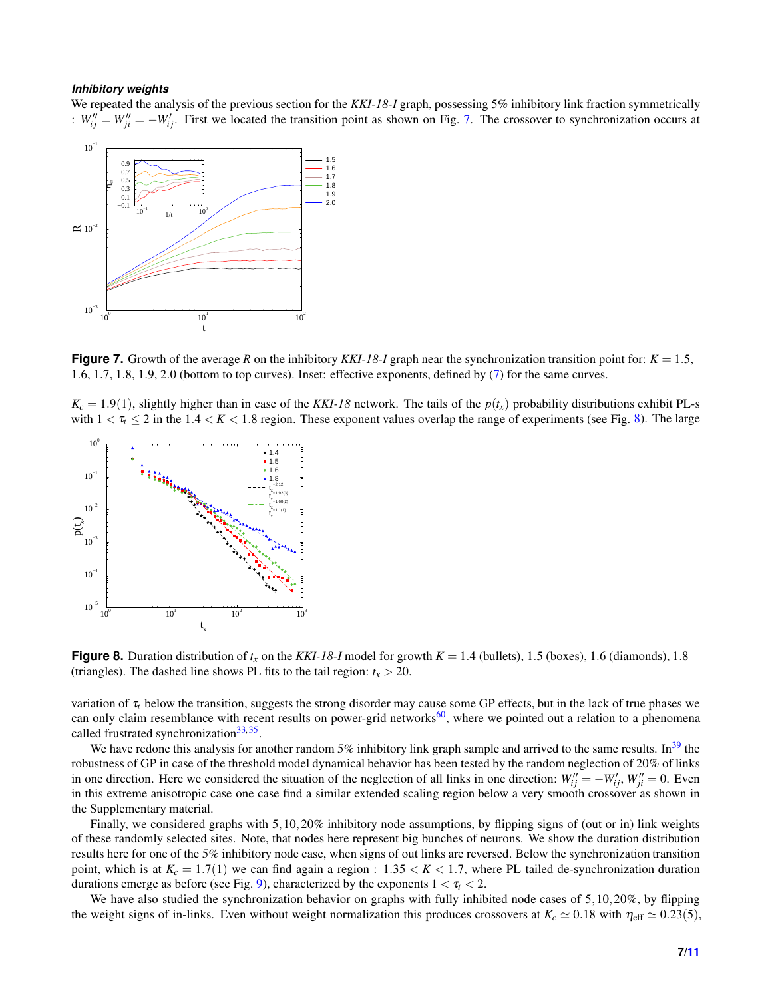#### *Inhibitory weights*

We repeated the analysis of the previous section for the *KKI-18-I* graph, possessing 5% inhibitory link fraction symmetrically :  $W_{ij}'' = W_{ji}'' = -W_{ij}'$ . First we located the transition point as shown on Fig. [7.](#page-6-0) The crossover to synchronization occurs at

<span id="page-6-0"></span>

**Figure 7.** Growth of the average R on the inhibitory KKI-18-I graph near the synchronization transition point for:  $K = 1.5$ , 1.6, 1.7, 1.8, 1.9, 2.0 (bottom to top curves). Inset: effective exponents, defined by [\(7\)](#page-2-1) for the same curves.

 $K_c = 1.9(1)$ , slightly higher than in case of the *KKI-18* network. The tails of the  $p(t_x)$  probability distributions exhibit PL-s with  $1 < \tau$   $<$  2 in the 1.4  $<$  K  $<$  1.8 region. These exponent values overlap the range of experiments (see Fig. [8\)](#page-6-1). The large

<span id="page-6-1"></span>

**Figure 8.** Duration distribution of  $t_x$  on the KKI-18-I model for growth  $K = 1.4$  (bullets), 1.5 (boxes), 1.6 (diamonds), 1.8 (triangles). The dashed line shows PL fits to the tail region:  $t_x > 20$ .

variation of  $\tau_t$  below the transition, suggests the strong disorder may cause some GP effects, but in the lack of true phases we can only claim resemblance with recent results on power-grid networks $60$ , where we pointed out a relation to a phenomena called frustrated synchronization<sup>[33,](#page-9-14)[35](#page-9-16)</sup>.

We have redone this analysis for another random 5% inhibitory link graph sample and arrived to the same results. In<sup>[39](#page-9-20)</sup> the robustness of GP in case of the threshold model dynamical behavior has been tested by the random neglection of 20% of links in one direction. Here we considered the situation of the neglection of all links in one direction:  $W''_{ij} = -W'_{ij}$ ,  $W''_{ji} = 0$ . Even in this extreme anisotropic case one case find a similar extended scaling region below a very smooth crossover as shown in the Supplementary material.

Finally, we considered graphs with 5,10,20% inhibitory node assumptions, by flipping signs of (out or in) link weights of these randomly selected sites. Note, that nodes here represent big bunches of neurons. We show the duration distribution results here for one of the 5% inhibitory node case, when signs of out links are reversed. Below the synchronization transition point, which is at  $K_c = 1.7(1)$  we can find again a region :  $1.35 < K < 1.7$ , where PL tailed de-synchronization duration durations emerge as before (see Fig. [9\)](#page-7-0), characterized by the exponents  $1 < \tau_t < 2$ .

We have also studied the synchronization behavior on graphs with fully inhibited node cases of 5,10,20%, by flipping the weight signs of in-links. Even without weight normalization this produces crossovers at  $K_c \approx 0.18$  with  $\eta_{\text{eff}} \approx 0.23(5)$ ,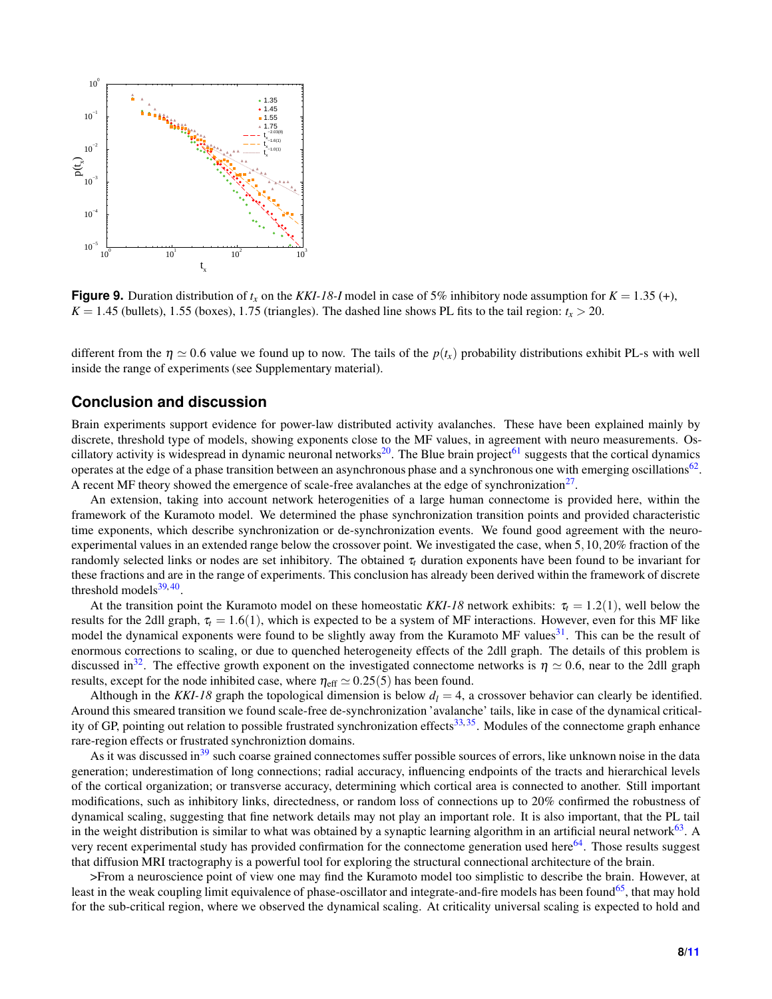<span id="page-7-0"></span>

**Figure 9.** Duration distribution of  $t_x$  on the KKI-18-I model in case of 5% inhibitory node assumption for  $K = 1.35$  (+),  $K = 1.45$  (bullets), 1.55 (boxes), 1.75 (triangles). The dashed line shows PL fits to the tail region:  $t_x > 20$ .

different from the  $\eta \simeq 0.6$  value we found up to now. The tails of the  $p(t_x)$  probability distributions exhibit PL-s with well inside the range of experiments (see Supplementary material).

## **Conclusion and discussion**

Brain experiments support evidence for power-law distributed activity avalanches. These have been explained mainly by discrete, threshold type of models, showing exponents close to the MF values, in agreement with neuro measurements. Os-cillatory activity is widespread in dynamic neuronal networks<sup>[20](#page-9-2)</sup>. The Blue brain project<sup>[61](#page-10-17)</sup> suggests that the cortical dynamics operates at the edge of a phase transition between an asynchronous phase and a synchronous one with emerging oscillations<sup>[62](#page-10-18)</sup>. A recent MF theory showed the emergence of scale-free avalanches at the edge of synchronization $2^7$ .

An extension, taking into account network heterogenities of a large human connectome is provided here, within the framework of the Kuramoto model. We determined the phase synchronization transition points and provided characteristic time exponents, which describe synchronization or de-synchronization events. We found good agreement with the neuroexperimental values in an extended range below the crossover point. We investigated the case, when 5,10,20% fraction of the randomly selected links or nodes are set inhibitory. The obtained  $\tau_t$  duration exponents have been found to be invariant for these fractions and are in the range of experiments. This conclusion has already been derived within the framework of discrete threshold models $39,40$  $39,40$ .

At the transition point the Kuramoto model on these homeostatic *KKI-18* network exhibits:  $\tau_t = 1.2(1)$ , well below the results for the 2dll graph,  $\tau_t = 1.6(1)$ , which is expected to be a system of MF interactions. However, even for this MF like model the dynamical exponents were found to be slightly away from the Kuramoto MF values<sup>[31](#page-9-12)</sup>. This can be the result of enormous corrections to scaling, or due to quenched heterogeneity effects of the 2dll graph. The details of this problem is discussed in<sup>[32](#page-9-13)</sup>. The effective growth exponent on the investigated connectome networks is  $\eta \simeq 0.6$ , near to the 2dll graph results, except for the node inhibited case, where  $\eta_{\text{eff}} \simeq 0.25(5)$  has been found.

Although in the *KKI-18* graph the topological dimension is below  $d_l = 4$ , a crossover behavior can clearly be identified. Around this smeared transition we found scale-free de-synchronization 'avalanche' tails, like in case of the dynamical critical-ity of GP, pointing out relation to possible frustrated synchronization effects<sup>[33,](#page-9-14)[35](#page-9-16)</sup>. Modules of the connectome graph enhance rare-region effects or frustrated synchroniztion domains.

As it was discussed in<sup>[39](#page-9-20)</sup> such coarse grained connectomes suffer possible sources of errors, like unknown noise in the data generation; underestimation of long connections; radial accuracy, influencing endpoints of the tracts and hierarchical levels of the cortical organization; or transverse accuracy, determining which cortical area is connected to another. Still important modifications, such as inhibitory links, directedness, or random loss of connections up to 20% confirmed the robustness of dynamical scaling, suggesting that fine network details may not play an important role. It is also important, that the PL tail in the weight distribution is similar to what was obtained by a synaptic learning algorithm in an artificial neural network $^{63}$  $^{63}$  $^{63}$ . A very recent experimental study has provided confirmation for the connectome generation used here<sup>[64](#page-10-20)</sup>. Those results suggest that diffusion MRI tractography is a powerful tool for exploring the structural connectional architecture of the brain.

>From a neuroscience point of view one may find the Kuramoto model too simplistic to describe the brain. However, at least in the weak coupling limit equivalence of phase-oscillator and integrate-and-fire models has been found $65$ , that may hold for the sub-critical region, where we observed the dynamical scaling. At criticality universal scaling is expected to hold and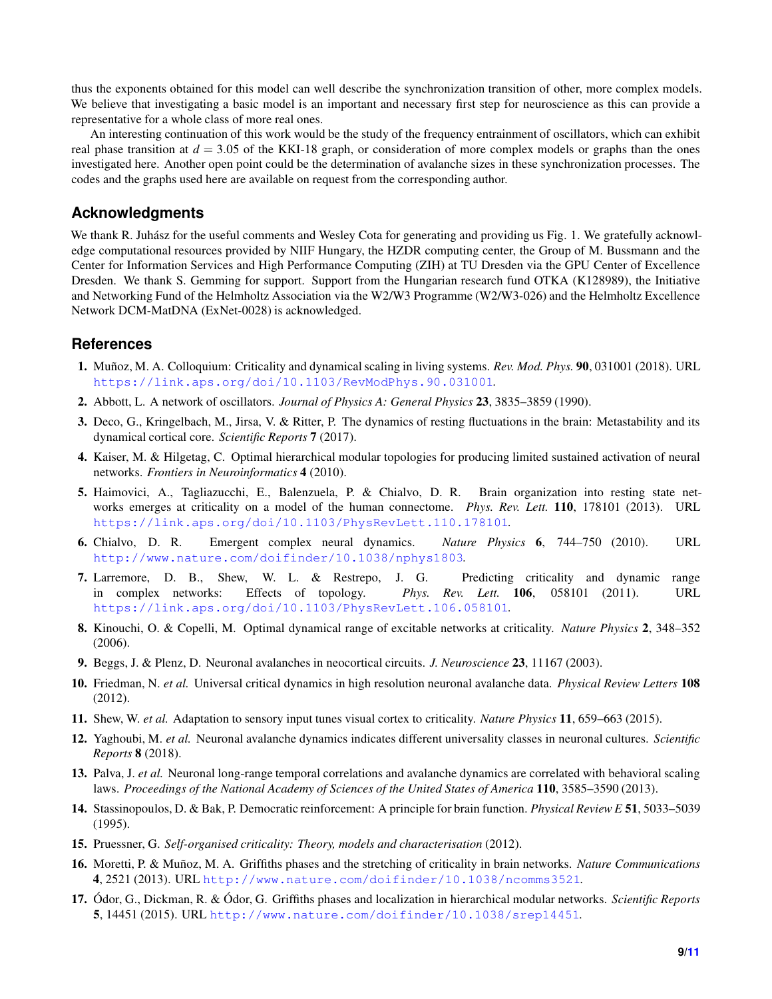thus the exponents obtained for this model can well describe the synchronization transition of other, more complex models. We believe that investigating a basic model is an important and necessary first step for neuroscience as this can provide a representative for a whole class of more real ones.

An interesting continuation of this work would be the study of the frequency entrainment of oscillators, which can exhibit real phase transition at  $d = 3.05$  of the KKI-18 graph, or consideration of more complex models or graphs than the ones investigated here. Another open point could be the determination of avalanche sizes in these synchronization processes. The codes and the graphs used here are available on request from the corresponding author.

# **Acknowledgments**

We thank R. Juhász for the useful comments and Wesley Cota for generating and providing us Fig. 1. We gratefully acknowledge computational resources provided by NIIF Hungary, the HZDR computing center, the Group of M. Bussmann and the Center for Information Services and High Performance Computing (ZIH) at TU Dresden via the GPU Center of Excellence Dresden. We thank S. Gemming for support. Support from the Hungarian research fund OTKA (K128989), the Initiative and Networking Fund of the Helmholtz Association via the W2/W3 Programme (W2/W3-026) and the Helmholtz Excellence Network DCM-MatDNA (ExNet-0028) is acknowledged.

## <span id="page-8-0"></span>**References**

- <span id="page-8-1"></span>1. Muñoz, M. A. Colloquium: Criticality and dynamical scaling in living systems. *Rev. Mod. Phys.* 90, 031001 (2018). URL <https://link.aps.org/doi/10.1103/RevModPhys.90.031001>.
- <span id="page-8-2"></span>2. Abbott, L. A network of oscillators. *Journal of Physics A: General Physics* 23, 3835–3859 (1990).
- <span id="page-8-3"></span>3. Deco, G., Kringelbach, M., Jirsa, V. & Ritter, P. The dynamics of resting fluctuations in the brain: Metastability and its dynamical cortical core. *Scientific Reports* 7 (2017).
- <span id="page-8-4"></span>4. Kaiser, M. & Hilgetag, C. Optimal hierarchical modular topologies for producing limited sustained activation of neural networks. *Frontiers in Neuroinformatics* 4 (2010).
- 5. Haimovici, A., Tagliazucchi, E., Balenzuela, P. & Chialvo, D. R. Brain organization into resting state networks emerges at criticality on a model of the human connectome. *Phys. Rev. Lett.* 110, 178101 (2013). URL <https://link.aps.org/doi/10.1103/PhysRevLett.110.178101>.
- <span id="page-8-6"></span><span id="page-8-5"></span>6. Chialvo, D. R. Emergent complex neural dynamics. *Nature Physics* 6, 744–750 (2010). URL <http://www.nature.com/doifinder/10.1038/nphys1803>.
- 7. Larremore, D. B., Shew, W. L. & Restrepo, J. G. Predicting criticality and dynamic range in complex networks: Effects of topology. *Phys. Rev. Lett.* 106, 058101 (2011). URL <https://link.aps.org/doi/10.1103/PhysRevLett.106.058101>.
- <span id="page-8-8"></span><span id="page-8-7"></span>8. Kinouchi, O. & Copelli, M. Optimal dynamical range of excitable networks at criticality. *Nature Physics* 2, 348–352 (2006).
- 9. Beggs, J. & Plenz, D. Neuronal avalanches in neocortical circuits. *J. Neuroscience* 23, 11167 (2003).
- 10. Friedman, N. *et al.* Universal critical dynamics in high resolution neuronal avalanche data. *Physical Review Letters* 108 (2012).
- 11. Shew, W. *et al.* Adaptation to sensory input tunes visual cortex to criticality. *Nature Physics* 11, 659–663 (2015).
- <span id="page-8-9"></span>12. Yaghoubi, M. *et al.* Neuronal avalanche dynamics indicates different universality classes in neuronal cultures. *Scientific Reports* 8 (2018).
- <span id="page-8-10"></span>13. Palva, J. *et al.* Neuronal long-range temporal correlations and avalanche dynamics are correlated with behavioral scaling laws. *Proceedings of the National Academy of Sciences of the United States of America* 110, 3585–3590 (2013).
- <span id="page-8-11"></span>14. Stassinopoulos, D. & Bak, P. Democratic reinforcement: A principle for brain function. *Physical Review E* 51, 5033–5039 (1995).
- <span id="page-8-12"></span>15. Pruessner, G. *Self-organised criticality: Theory, models and characterisation* (2012).
- <span id="page-8-13"></span>16. Moretti, P. & Muñoz, M. A. Griffiths phases and the stretching of criticality in brain networks. *Nature Communications* 4, 2521 (2013). URL <http://www.nature.com/doifinder/10.1038/ncomms3521>.
- 17. Ódor, G., Dickman, R. & Ódor, G. Griffiths phases and localization in hierarchical modular networks. *Scientific Reports* 5, 14451 (2015). URL <http://www.nature.com/doifinder/10.1038/srep14451>.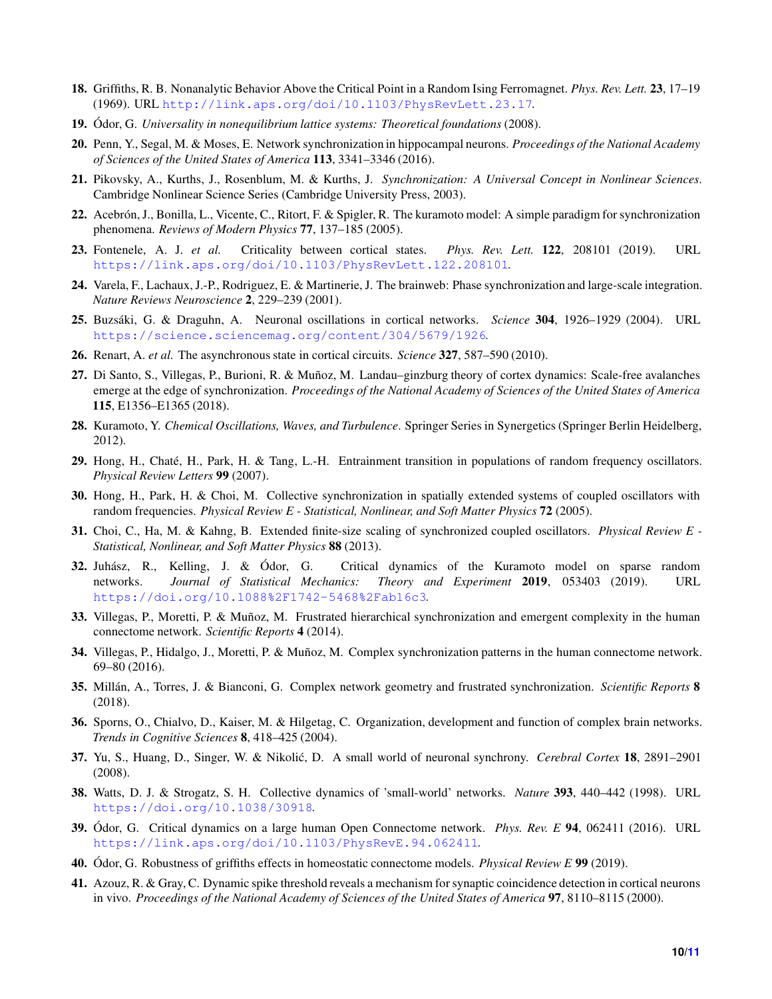- <span id="page-9-1"></span><span id="page-9-0"></span>18. Griffiths, R. B. Nonanalytic Behavior Above the Critical Point in a Random Ising Ferromagnet. *Phys. Rev. Lett.* 23, 17–19 (1969). URL <http://link.aps.org/doi/10.1103/PhysRevLett.23.17>.
- <span id="page-9-2"></span>19. Ódor, G. *Universality in nonequilibrium lattice systems: Theoretical foundations* (2008).
- <span id="page-9-3"></span>20. Penn, Y., Segal, M. & Moses, E. Network synchronization in hippocampal neurons. *Proceedings of the National Academy of Sciences of the United States of America* 113, 3341–3346 (2016).
- 21. Pikovsky, A., Kurths, J., Rosenblum, M. & Kurths, J. *Synchronization: A Universal Concept in Nonlinear Sciences*. Cambridge Nonlinear Science Series (Cambridge University Press, 2003).
- <span id="page-9-4"></span>22. Acebrón, J., Bonilla, L., Vicente, C., Ritort, F. & Spigler, R. The kuramoto model: A simple paradigm for synchronization phenomena. *Reviews of Modern Physics* 77, 137–185 (2005).
- <span id="page-9-5"></span>23. Fontenele, A. J. *et al.* Criticality between cortical states. *Phys. Rev. Lett.* 122, 208101 (2019). URL <https://link.aps.org/doi/10.1103/PhysRevLett.122.208101>.
- <span id="page-9-6"></span>24. Varela, F., Lachaux, J.-P., Rodriguez, E. & Martinerie, J. The brainweb: Phase synchronization and large-scale integration. *Nature Reviews Neuroscience* 2, 229–239 (2001).
- <span id="page-9-7"></span>25. Buzsáki, G. & Draguhn, A. Neuronal oscillations in cortical networks. *Science* 304, 1926–1929 (2004). URL <https://science.sciencemag.org/content/304/5679/1926>.
- <span id="page-9-8"></span>26. Renart, A. *et al.* The asynchronous state in cortical circuits. *Science* 327, 587–590 (2010).
- 27. Di Santo, S., Villegas, P., Burioni, R. & Muñoz, M. Landau–ginzburg theory of cortex dynamics: Scale-free avalanches emerge at the edge of synchronization. *Proceedings of the National Academy of Sciences of the United States of America* 115, E1356–E1365 (2018).
- <span id="page-9-10"></span><span id="page-9-9"></span>28. Kuramoto, Y. *Chemical Oscillations, Waves, and Turbulence*. Springer Series in Synergetics (Springer Berlin Heidelberg, 2012).
- <span id="page-9-11"></span>29. Hong, H., Chaté, H., Park, H. & Tang, L.-H. Entrainment transition in populations of random frequency oscillators. *Physical Review Letters* 99 (2007).
- <span id="page-9-12"></span>30. Hong, H., Park, H. & Choi, M. Collective synchronization in spatially extended systems of coupled oscillators with random frequencies. *Physical Review E - Statistical, Nonlinear, and Soft Matter Physics* 72 (2005).
- <span id="page-9-13"></span>31. Choi, C., Ha, M. & Kahng, B. Extended finite-size scaling of synchronized coupled oscillators. *Physical Review E - Statistical, Nonlinear, and Soft Matter Physics* 88 (2013).
- 32. Juhász, R., Kelling, J. & Ódor, G. Critical dynamics of the Kuramoto model on sparse random networks. *Journal of Statistical Mechanics: Theory and Experiment* 2019, 053403 (2019). URL <https://doi.org/10.1088%2F1742-5468%2Fab16c3>.
- <span id="page-9-14"></span>33. Villegas, P., Moretti, P. & Muñoz, M. Frustrated hierarchical synchronization and emergent complexity in the human connectome network. *Scientific Reports* 4 (2014).
- <span id="page-9-16"></span><span id="page-9-15"></span>34. Villegas, P., Hidalgo, J., Moretti, P. & Muñoz, M. Complex synchronization patterns in the human connectome network. 69–80 (2016).
- <span id="page-9-17"></span>35. Millán, A., Torres, J. & Bianconi, G. Complex network geometry and frustrated synchronization. *Scientific Reports* 8 (2018).
- <span id="page-9-18"></span>36. Sporns, O., Chialvo, D., Kaiser, M. & Hilgetag, C. Organization, development and function of complex brain networks. *Trends in Cognitive Sciences* 8, 418–425 (2004).
- <span id="page-9-19"></span>37. Yu, S., Huang, D., Singer, W. & Nikolić, D. A small world of neuronal synchrony. *Cerebral Cortex* 18, 2891–2901 (2008).
- <span id="page-9-20"></span>38. Watts, D. J. & Strogatz, S. H. Collective dynamics of 'small-world' networks. *Nature* 393, 440–442 (1998). URL <https://doi.org/10.1038/30918>.
- <span id="page-9-21"></span>39. Ódor, G. Critical dynamics on a large human Open Connectome network. *Phys. Rev. E* 94, 062411 (2016). URL <https://link.aps.org/doi/10.1103/PhysRevE.94.062411>.
- <span id="page-9-22"></span>40. Ódor, G. Robustness of griffiths effects in homeostatic connectome models. *Physical Review E* 99 (2019).
- 41. Azouz, R. & Gray, C. Dynamic spike threshold reveals a mechanism for synaptic coincidence detection in cortical neurons in vivo. *Proceedings of the National Academy of Sciences of the United States of America* 97, 8110–8115 (2000).